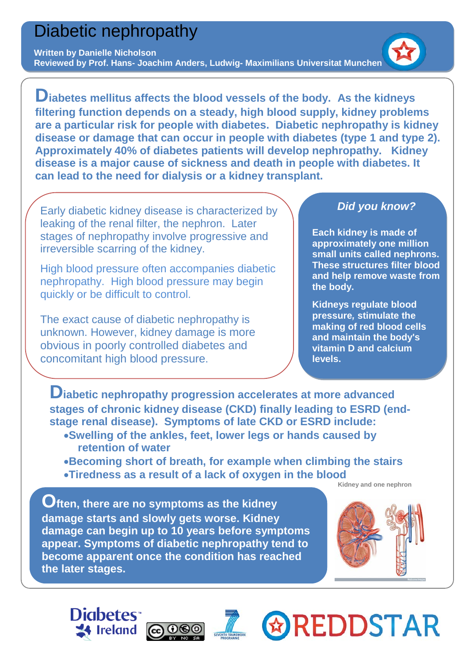# Diabetic nephropathy

#### **Written by Danielle Nicholson**

**Reviewed by Prof. Hans- Joachim Anders, Ludwig- Maximilians Universitat Munchen**

**Diabetes mellitus affects the blood vessels of the body. As the kidneys filtering function depends on a steady, high blood supply, kidney problems are a particular risk for people with diabetes. Diabetic nephropathy is kidney disease or damage that can occur in people with [diabetes](http://www.ncbi.nlm.nih.gov/pubmedhealth/n/pmh_adam/A001214/) (type 1 and type 2). Approximately 40% of diabetes patients will develop nephropathy. Kidney disease is a major cause of sickness and death in people with diabetes. It can lead to the need for [dialysis](http://www.ncbi.nlm.nih.gov/pubmedhealth/n/pmh_adam/A007434/) or a [kidney transplant.](http://www.ncbi.nlm.nih.gov/pubmedhealth/n/pmh_adam/A003005/)**

Early diabetic kidney disease is characterized by leaking of the renal filter, the nephron. Later stages of nephropathy involve progressive and irreversible scarring of the kidney.

High blood pressure often accompanies diabetic nephropathy. High blood pressure may begin quickly or be difficult to control.

The exact cause of diabetic nephropathy is unknown. However, kidney damage is more obvious in poorly controlled diabetes and concomitant high blood pressure.

### *Did you know?*

**Each kidney is made of approximately one million small units called nephrons. These structures filter blood and help remove waste from the body.**

**Kidneys regulate blood pressure***,* **stimulate the making of [red blood cells](http://science.howstuffworks.com/environmental/life/human-biology/blood.htm) and maintain the body's vitamin D and calcium levels.**

**Diabetic nephropathy progression accelerates at more advanced stages of chronic kidney disease (CKD) finally leading to ESRD (endstage renal disease). Symptoms of late CKD or ESRD include:**

- •**Swelling of the ankles, feet, lower legs or hands caused by retention of water**
- •**Becoming short of breath, for example when climbing the stairs** •**Tiredness as a result of a lack of oxygen in the blood** Kidney and one nephron

l **Often, there are no symptoms as the kidney damage starts and slowly gets worse. Kidney damage can begin up to 10 years before symptoms appear. Symptoms of diabetic nephropathy tend to become apparent once the condition has reached the later stages.**



**& REDDSTAR**